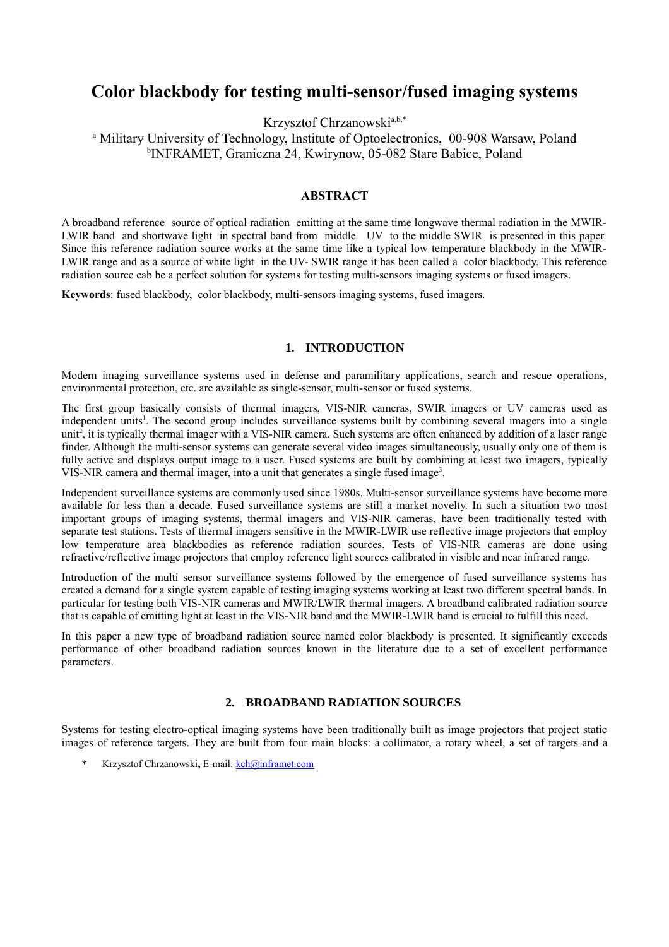# **Color blackbody for testing multi-sensor/fused imaging systems**

Krzysztof Chrzanowski<sup>a,b[,\\*](#page-0-0)</sup>

<sup>a</sup> Military University of Technology, Institute of Optoelectronics, 00-908 Warsaw, Poland b INFRAMET, Graniczna 24, Kwirynow, 05-082 Stare Babice, Poland

#### **ABSTRACT**

A broadband reference source of optical radiation emitting at the same time longwave thermal radiation in the MWIR-LWIR band and shortwave light in spectral band from middle UV to the middle SWIR is presented in this paper. Since this reference radiation source works at the same time like a typical low temperature blackbody in the MWIR-LWIR range and as a source of white light in the UV- SWIR range it has been called a color blackbody. This reference radiation source cab be a perfect solution for systems for testing multi-sensors imaging systems or fused imagers.

**Keywords**: fused blackbody, color blackbody, multi-sensors imaging systems, fused imagers.

### **1. INTRODUCTION**

Modern imaging surveillance systems used in defense and paramilitary applications, search and rescue operations, environmental protection, etc. are available as single-sensor, multi-sensor or fused systems.

The first group basically consists of thermal imagers, VIS-NIR cameras, SWIR imagers or UV cameras used as independent units<sup>[1](#page-8-0)</sup>. The second group includes surveillance systems built by combining several imagers into a single unit<sup>[2](#page-8-2)</sup>, it is typically thermal imager with a VIS-NIR camera. Such systems are often enhanced by addition of a laser range finder. Although the multi-sensor systems can generate several video images simultaneously, usually only one of them is fully active and displays output image to a user. Fused systems are built by combining at least two imagers, typically VIS-NIR camera and thermal imager, into a unit that generates a single fused image<sup>[3](#page-8-1)</sup>.

Independent surveillance systems are commonly used since 1980s. Multi-sensor surveillance systems have become more available for less than a decade. Fused surveillance systems are still a market novelty. In such a situation two most important groups of imaging systems, thermal imagers and VIS-NIR cameras, have been traditionally tested with separate test stations. Tests of thermal imagers sensitive in the MWIR-LWIR use reflective image projectors that employ low temperature area blackbodies as reference radiation sources. Tests of VIS-NIR cameras are done using refractive/reflective image projectors that employ reference light sources calibrated in visible and near infrared range.

Introduction of the multi sensor surveillance systems followed by the emergence of fused surveillance systems has created a demand for a single system capable of testing imaging systems working at least two different spectral bands. In particular for testing both VIS-NIR cameras and MWIR/LWIR thermal imagers. A broadband calibrated radiation source that is capable of emitting light at least in the VIS-NIR band and the MWIR-LWIR band is crucial to fulfill this need.

In this paper a new type of broadband radiation source named color blackbody is presented. It significantly exceeds performance of other broadband radiation sources known in the literature due to a set of excellent performance parameters.

## **2. BROADBAND RADIATION SOURCES**

Systems for testing electro-optical imaging systems have been traditionally built as image projectors that project static images of reference targets. They are built from four main blocks: a collimator, a rotary wheel, a set of targets and a

<span id="page-0-0"></span>\* Krzysztof Chrzanowski**,** E-mail: [kch@inframet.com](mailto:kch@inframet.com)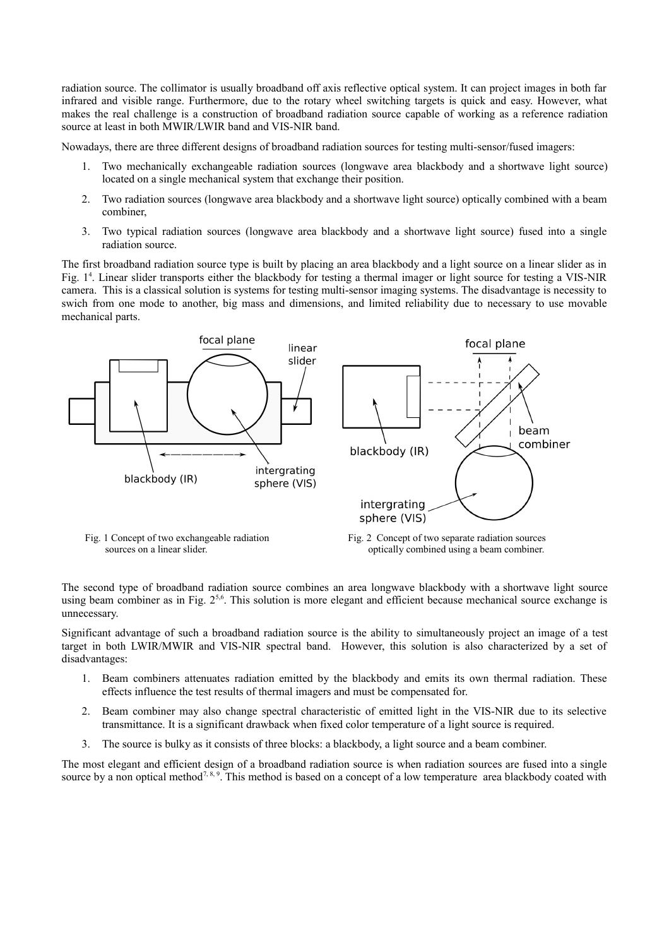radiation source. The collimator is usually broadband off axis reflective optical system. It can project images in both far infrared and visible range. Furthermore, due to the rotary wheel switching targets is quick and easy. However, what makes the real challenge is a construction of broadband radiation source capable of working as a reference radiation source at least in both MWIR/LWIR band and VIS-NIR band.

Nowadays, there are three different designs of broadband radiation sources for testing multi-sensor/fused imagers:

- 1. Two mechanically exchangeable radiation sources (longwave area blackbody and a shortwave light source) located on a single mechanical system that exchange their position.
- 2. Two radiation sources (longwave area blackbody and a shortwave light source) optically combined with a beam combiner,
- 3. Two typical radiation sources (longwave area blackbody and a shortwave light source) fused into a single radiation source.

The first broadband radiation source type is built by placing an area blackbody and a light source on a linear slider as in Fig. 1[4](#page-8-5) . Linear slider transports either the blackbody for testing a thermal imager or light source for testing a VIS-NIR camera. This is a classical solution is systems for testing multi-sensor imaging systems. The disadvantage is necessity to swich from one mode to another, big mass and dimensions, and limited reliability due to necessary to use movable mechanical parts.



The second type of broadband radiation source combines an area longwave blackbody with a shortwave light source using beam combiner as in Fig.  $2^{5.6}$  $2^{5.6}$  $2^{5.6}$ . This solution is more elegant and efficient because mechanical source exchange is unnecessary.

Significant advantage of such a broadband radiation source is the ability to simultaneously project an image of a test target in both LWIR/MWIR and VIS-NIR spectral band. However, this solution is also characterized by a set of disadvantages:

- 1. Beam combiners attenuates radiation emitted by the blackbody and emits its own thermal radiation. These effects influence the test results of thermal imagers and must be compensated for.
- 2. Beam combiner may also change spectral characteristic of emitted light in the VIS-NIR due to its selective transmittance. It is a significant drawback when fixed color temperature of a light source is required.
- 3. The source is bulky as it consists of three blocks: a blackbody, a light source and a beam combiner.

The most elegant and efficient design of a broadband radiation source is when radiation sources are fused into a single source by a non optical method<sup>7, 8, 9</sup>. This method is based on a concept of a low temperature area blackbody coated with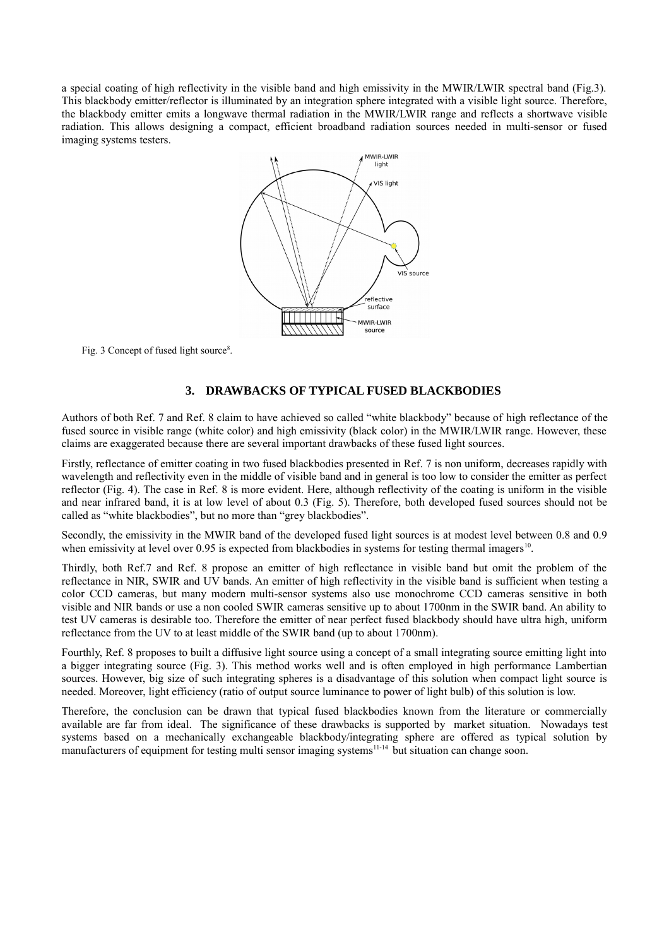a special coating of high reflectivity in the visible band and high emissivity in the MWIR/LWIR spectral band (Fig.3). This blackbody emitter/reflector is illuminated by an integration sphere integrated with a visible light source. Therefore, the blackbody emitter emits a longwave thermal radiation in the MWIR/LWIR range and reflects a shortwave visible radiation. This allows designing a compact, efficient broadband radiation sources needed in multi-sensor or fused imaging systems testers.



Fig. 3 Concept of fused light source<sup>8</sup>.

### **3. DRAWBACKS OF TYPICAL FUSED BLACKBODIES**

Authors of both Ref. 7 and Ref. 8 claim to have achieved so called "white blackbody" because of high reflectance of the fused source in visible range (white color) and high emissivity (black color) in the MWIR/LWIR range. However, these claims are exaggerated because there are several important drawbacks of these fused light sources.

Firstly, reflectance of emitter coating in two fused blackbodies presented in Ref. 7 is non uniform, decreases rapidly with wavelength and reflectivity even in the middle of visible band and in general is too low to consider the emitter as perfect reflector (Fig. 4). The case in Ref. 8 is more evident. Here, although reflectivity of the coating is uniform in the visible and near infrared band, it is at low level of about 0.3 (Fig. 5). Therefore, both developed fused sources should not be called as "white blackbodies", but no more than "grey blackbodies".

Secondly, the emissivity in the MWIR band of the developed fused light sources is at modest level between 0.8 and 0.9 when emissivity at level over 0.95 is expected from blackbodies in systems for testing thermal imagers<sup>10</sup>.

Thirdly, both Ref.7 and Ref. 8 propose an emitter of high reflectance in visible band but omit the problem of the reflectance in NIR, SWIR and UV bands. An emitter of high reflectivity in the visible band is sufficient when testing a color CCD cameras, but many modern multi-sensor systems also use monochrome CCD cameras sensitive in both visible and NIR bands or use a non cooled SWIR cameras sensitive up to about 1700nm in the SWIR band. An ability to test UV cameras is desirable too. Therefore the emitter of near perfect fused blackbody should have ultra high, uniform reflectance from the UV to at least middle of the SWIR band (up to about 1700nm).

Fourthly, Ref. 8 proposes to built a diffusive light source using a concept of a small integrating source emitting light into a bigger integrating source (Fig. 3). This method works well and is often employed in high performance Lambertian sources. However, big size of such integrating spheres is a disadvantage of this solution when compact light source is needed. Moreover, light efficiency (ratio of output source luminance to power of light bulb) of this solution is low.

Therefore, the conclusion can be drawn that typical fused blackbodies known from the literature or commercially available are far from ideal. The significance of these drawbacks is supported by market situation. Nowadays test systems based on a mechanically exchangeable blackbody/integrating sphere are offered as typical solution by manufacturers of equipment for testing multi sensor imaging systems<sup>11-14</sup> but situation can change soon.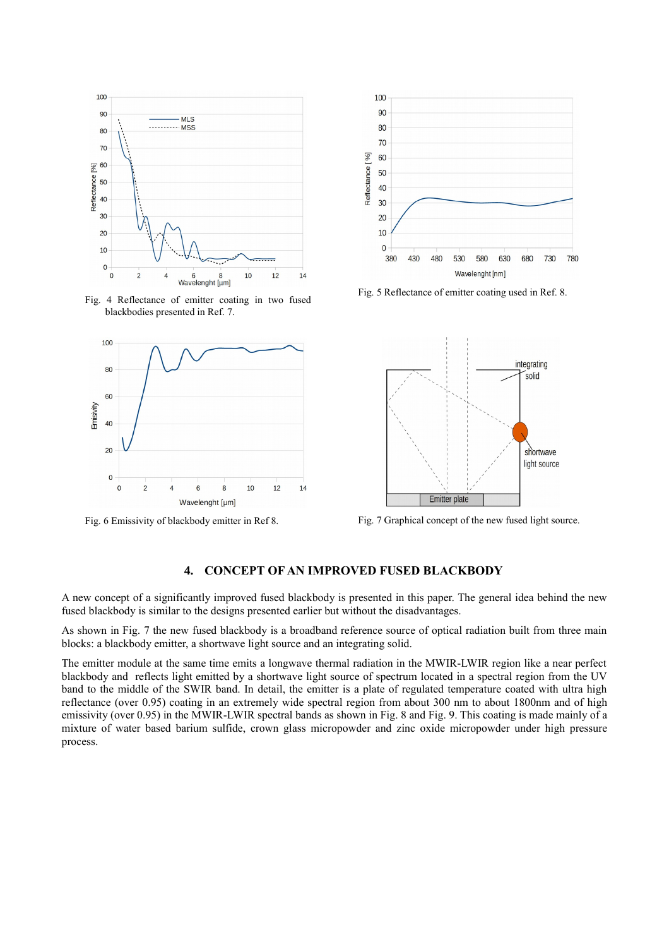

Fig. 4 Reflectance of emitter coating in two fused blackbodies presented in Ref. 7.





Fig. 5 Reflectance of emitter coating used in Ref. 8.



Fig. 6 Emissivity of blackbody emitter in Ref 8. Fig. 7 Graphical concept of the new fused light source.

# **4. CONCEPT OF AN IMPROVED FUSED BLACKBODY**

A new concept of a significantly improved fused blackbody is presented in this paper. The general idea behind the new fused blackbody is similar to the designs presented earlier but without the disadvantages.

As shown in Fig. 7 the new fused blackbody is a broadband reference source of optical radiation built from three main blocks: a blackbody emitter, a shortwave light source and an integrating solid.

The emitter module at the same time emits a longwave thermal radiation in the MWIR-LWIR region like a near perfect blackbody and reflects light emitted by a shortwave light source of spectrum located in a spectral region from the UV band to the middle of the SWIR band. In detail, the emitter is a plate of regulated temperature coated with ultra high reflectance (over 0.95) coating in an extremely wide spectral region from about 300 nm to about 1800nm and of high emissivity (over 0.95) in the MWIR-LWIR spectral bands as shown in Fig. 8 and Fig. 9. This coating is made mainly of a mixture of water based barium sulfide, crown glass micropowder and zinc oxide micropowder under high pressure process.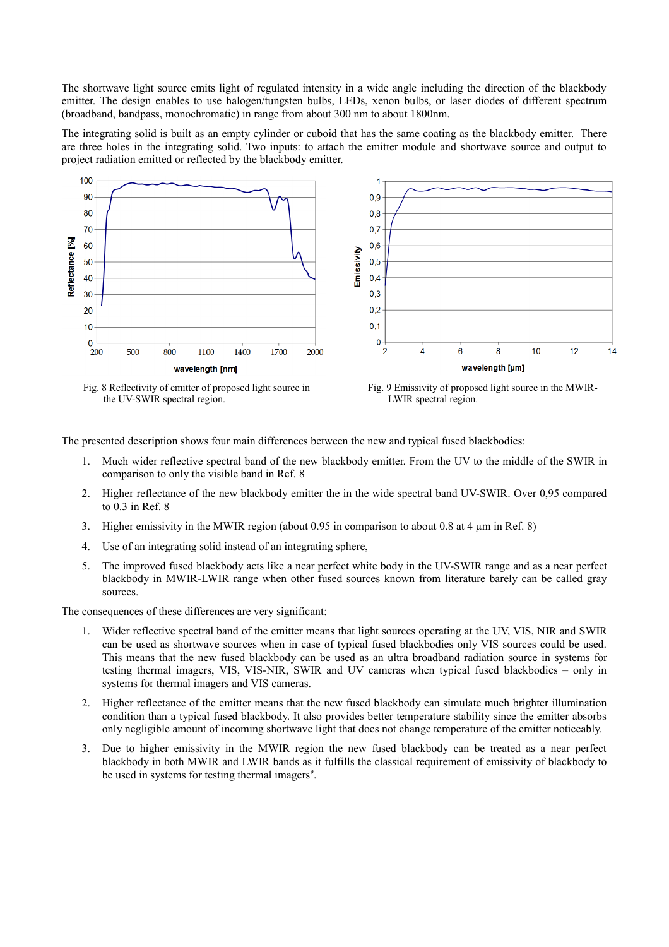The shortwave light source emits light of regulated intensity in a wide angle including the direction of the blackbody emitter. The design enables to use halogen/tungsten bulbs, LEDs, xenon bulbs, or laser diodes of different spectrum (broadband, bandpass, monochromatic) in range from about 300 nm to about 1800nm.

The integrating solid is built as an empty cylinder or cuboid that has the same coating as the blackbody emitter. There are three holes in the integrating solid. Two inputs: to attach the emitter module and shortwave source and output to project radiation emitted or reflected by the blackbody emitter.



the UV-SWIR spectral region.

LWIR spectral region.

The presented description shows four main differences between the new and typical fused blackbodies:

- 1. Much wider reflective spectral band of the new blackbody emitter. From the UV to the middle of the SWIR in comparison to only the visible band in Ref. 8
- 2. Higher reflectance of the new blackbody emitter the in the wide spectral band UV-SWIR. Over 0,95 compared to 0.3 in Ref. 8
- 3. Higher emissivity in the MWIR region (about 0.95 in comparison to about 0.8 at 4 µm in Ref. 8)
- 4. Use of an integrating solid instead of an integrating sphere,
- 5. The improved fused blackbody acts like a near perfect white body in the UV-SWIR range and as a near perfect blackbody in MWIR-LWIR range when other fused sources known from literature barely can be called gray sources.

The consequences of these differences are very significant:

- 1. Wider reflective spectral band of the emitter means that light sources operating at the UV, VIS, NIR and SWIR can be used as shortwave sources when in case of typical fused blackbodies only VIS sources could be used. This means that the new fused blackbody can be used as an ultra broadband radiation source in systems for testing thermal imagers, VIS, VIS-NIR, SWIR and UV cameras when typical fused blackbodies – only in systems for thermal imagers and VIS cameras.
- 2. Higher reflectance of the emitter means that the new fused blackbody can simulate much brighter illumination condition than a typical fused blackbody. It also provides better temperature stability since the emitter absorbs only negligible amount of incoming shortwave light that does not change temperature of the emitter noticeably.
- 3. Due to higher emissivity in the MWIR region the new fused blackbody can be treated as a near perfect blackbody in both MWIR and LWIR bands as it fulfills the classical requirement of emissivity of blackbody to be used in systems for testing thermal imagers<sup>9</sup>.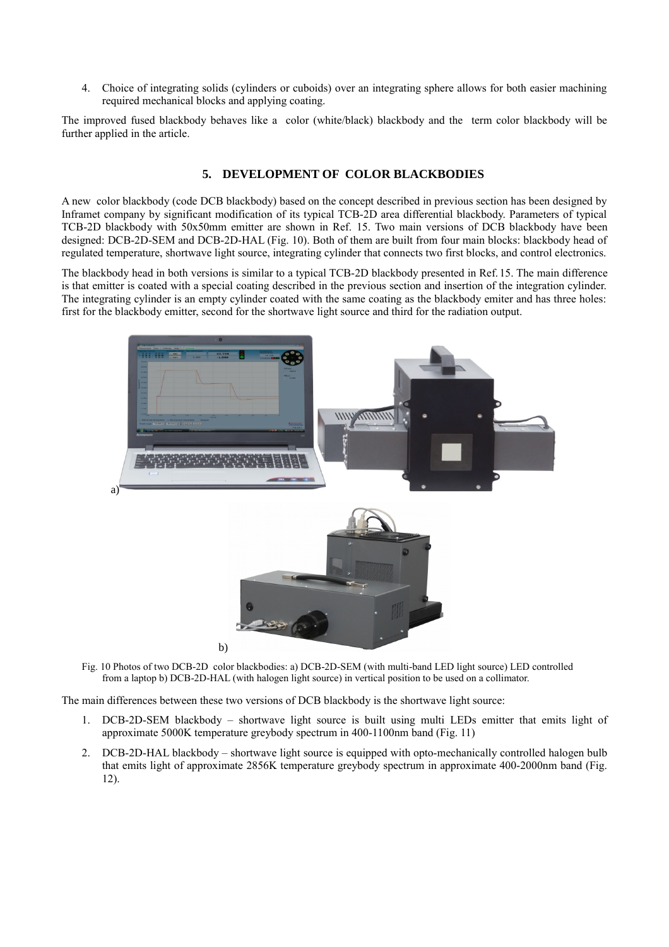4. Choice of integrating solids (cylinders or cuboids) over an integrating sphere allows for both easier machining required mechanical blocks and applying coating.

The improved fused blackbody behaves like a color (white/black) blackbody and the term color blackbody will be further applied in the article.

## **5. DEVELOPMENT OF COLOR BLACKBODIES**

A new color blackbody (code DCB blackbody) based on the concept described in previous section has been designed by Inframet company by significant modification of its typical TCB-2D area differential blackbody. Parameters of typical TCB-2D blackbody with 50x50mm emitter are shown in Ref. [15.](#page-8-6) Two main versions of DCB blackbody have been designed: DCB-2D-SEM and DCB-2D-HAL (Fig. 10). Both of them are built from four main blocks: blackbody head of regulated temperature, shortwave light source, integrating cylinder that connects two first blocks, and control electronics.

The blackbody head in both versions is similar to a typical TCB-2D blackbody presented in Ref.[15.](#page-8-6) The main difference is that emitter is coated with a special coating described in the previous section and insertion of the integration cylinder. The integrating cylinder is an empty cylinder coated with the same coating as the blackbody emiter and has three holes: first for the blackbody emitter, second for the shortwave light source and third for the radiation output.



Fig. 10 Photos of two DCB-2D color blackbodies: a) DCB-2D-SEM (with multi-band LED light source) LED controlled from a laptop b) DCB-2D-HAL (with halogen light source) in vertical position to be used on a collimator.

The main differences between these two versions of DCB blackbody is the shortwave light source:

- 1. DCB-2D-SEM blackbody shortwave light source is built using multi LEDs emitter that emits light of approximate 5000K temperature greybody spectrum in 400-1100nm band (Fig. 11)
- 2. DCB-2D-HAL blackbody shortwave light source is equipped with opto-mechanically controlled halogen bulb that emits light of approximate 2856K temperature greybody spectrum in approximate 400-2000nm band (Fig. 12).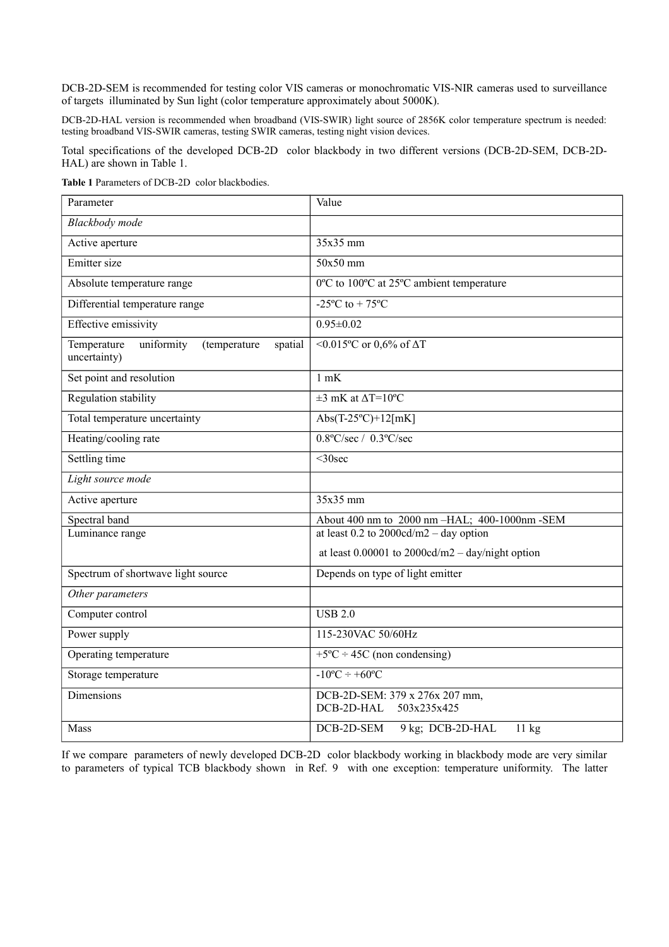DCB-2D-SEM is recommended for testing color VIS cameras or monochromatic VIS-NIR cameras used to surveillance of targets illuminated by Sun light (color temperature approximately about 5000K).

DCB-2D-HAL version is recommended when broadband (VIS-SWIR) light source of 2856K color temperature spectrum is needed: testing broadband VIS-SWIR cameras, testing SWIR cameras, testing night vision devices.

Total specifications of the developed DCB-2D color blackbody in two different versions (DCB-2D-SEM, DCB-2D-HAL) are shown in Table 1.

**Table 1** Parameters of DCB-2D color blackbodies.

| Parameter                                                            | Value                                                       |
|----------------------------------------------------------------------|-------------------------------------------------------------|
| Blackbody mode                                                       |                                                             |
| Active aperture                                                      | 35x35 mm                                                    |
| Emitter size                                                         | 50x50 mm                                                    |
| Absolute temperature range                                           | 0°C to 100°C at 25°C ambient temperature                    |
| Differential temperature range                                       | $-25^{\circ}$ C to + 75 $^{\circ}$ C                        |
| <b>Effective emissivity</b>                                          | $0.95 \pm 0.02$                                             |
| uniformity<br>Temperature<br>(temperature<br>spatial<br>uncertainty) | $\sqrt{0.015}$ °C or 0,6% of $\Delta$ T                     |
| Set point and resolution                                             | $1$ mK                                                      |
| Regulation stability                                                 | $\overline{\pm 3}$ mK at $\Delta T = 10^{\circ}C$           |
| Total temperature uncertainty                                        | Abs(T-25°C)+12[mK]                                          |
| Heating/cooling rate                                                 | $0.8$ °C/sec / $0.3$ °C/sec                                 |
| Settling time                                                        | $<$ 30sec                                                   |
| Light source mode                                                    |                                                             |
| Active aperture                                                      | $35x35$ mm                                                  |
| Spectral band                                                        | About 400 nm to 2000 nm -HAL; 400-1000nm -SEM               |
| Luminance range                                                      | at least 0.2 to $2000 \text{cd/m2} - \text{day option}$     |
|                                                                      | at least $0.00001$ to $2000cd/m2 - day/night$ option        |
| Spectrum of shortwave light source                                   | Depends on type of light emitter                            |
| Other parameters                                                     |                                                             |
| Computer control                                                     | <b>USB 2.0</b>                                              |
| Power supply                                                         | 115-230VAC 50/60Hz                                          |
| Operating temperature                                                | $+5$ °C ÷ 45C (non condensing)                              |
| Storage temperature                                                  | $-10^{\circ}C \div 60^{\circ}C$                             |
| Dimensions                                                           | DCB-2D-SEM: 379 x 276x 207 mm,<br>DCB-2D-HAL<br>503x235x425 |
| Mass                                                                 | DCB-2D-SEM<br>9 kg; DCB-2D-HAL<br>11 kg                     |

If we compare parameters of newly developed DCB-2D color blackbody working in blackbody mode are very similar to parameters of typical TCB blackbody shown in Ref. [9](#page-8-6) with one exception: temperature uniformity. The latter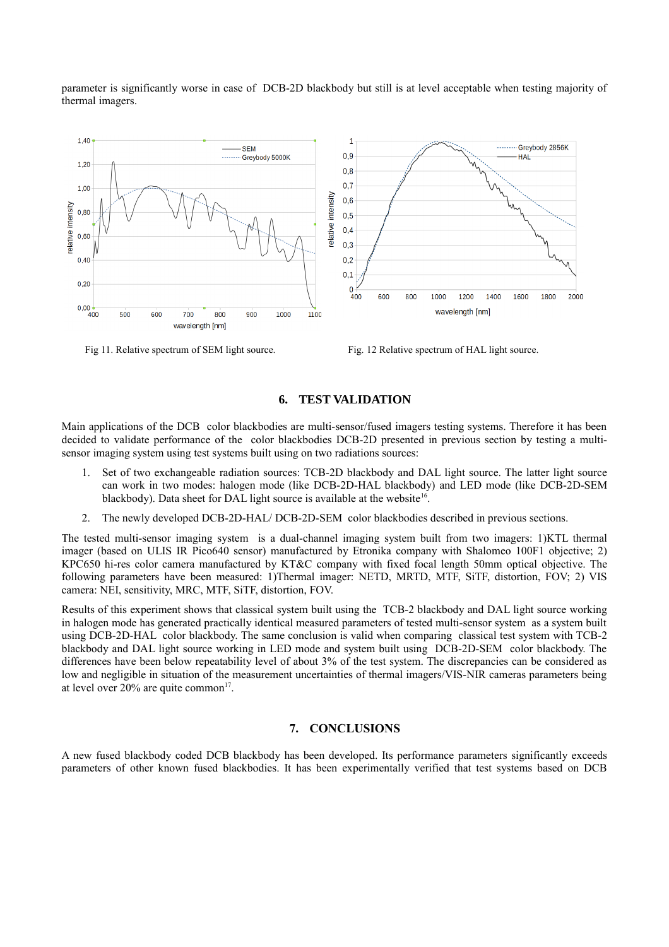parameter is significantly worse in case of DCB-2D blackbody but still is at level acceptable when testing majority of thermal imagers.



Fig. 12 Relative spectrum of SEM light source. Fig. 12 Relative spectrum of HAL light source.

# **6. TEST VALIDATION**

Main applications of the DCB color blackbodies are multi-sensor/fused imagers testing systems. Therefore it has been decided to validate performance of the color blackbodies DCB-2D presented in previous section by testing a multisensor imaging system using test systems built using on two radiations sources:

- 1. Set of two exchangeable radiation sources: TCB-2D blackbody and DAL light source. The latter light source can work in two modes: halogen mode (like DCB-2D-HAL blackbody) and LED mode (like DCB-2D-SEM blackbody). Data sheet for DAL light source is available at the website<sup>[16](#page-8-8)</sup>.
- 2. The newly developed DCB-2D-HAL/ DCB-2D-SEM color blackbodies described in previous sections.

The tested multi-sensor imaging system is a dual-channel imaging system built from two imagers: 1)KTL thermal imager (based on ULIS IR Pico640 sensor) manufactured by Etronika company with Shalomeo 100F1 objective; 2) KPC650 hi-res color camera manufactured by KT&C company with fixed focal length 50mm optical objective. The following parameters have been measured: 1)Thermal imager: NETD, MRTD, MTF, SiTF, distortion, FOV; 2) VIS camera: NEI, sensitivity, MRC, MTF, SiTF, distortion, FOV.

Results of this experiment shows that classical system built using the TCB-2 blackbody and DAL light source working in halogen mode has generated practically identical measured parameters of tested multi-sensor system as a system built using DCB-2D-HAL color blackbody. The same conclusion is valid when comparing classical test system with TCB-2 blackbody and DAL light source working in LED mode and system built using DCB-2D-SEM color blackbody. The differences have been below repeatability level of about 3% of the test system. The discrepancies can be considered as low and negligible in situation of the measurement uncertainties of thermal imagers/VIS-NIR cameras parameters being at level over  $20\%$  are quite common<sup>[17](#page-8-7)</sup>.

#### **7. CONCLUSIONS**

A new fused blackbody coded DCB blackbody has been developed. Its performance parameters significantly exceeds parameters of other known fused blackbodies. It has been experimentally verified that test systems based on DCB